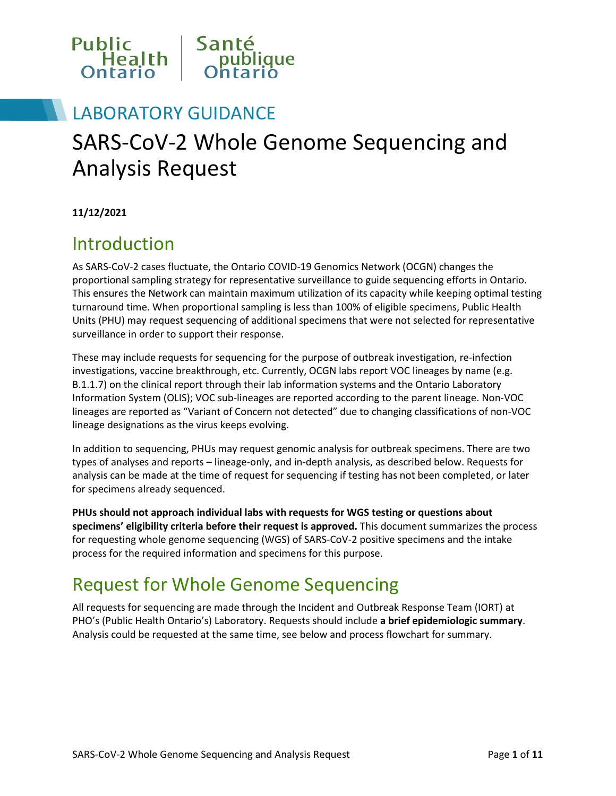

## LABORATORY GUIDANCE

# SARS-CoV-2 Whole Genome Sequencing and Analysis Request

**11/12/2021**

#### Introduction

As SARS-CoV-2 cases fluctuate, the Ontario COVID-19 Genomics Network (OCGN) changes the proportional sampling strategy for representative surveillance to guide sequencing efforts in Ontario. This ensures the Network can maintain maximum utilization of its capacity while keeping optimal testing turnaround time. When proportional sampling is less than 100% of eligible specimens, Public Health Units (PHU) may request sequencing of additional specimens that were not selected for representative surveillance in order to support their response.

These may include requests for sequencing for the purpose of outbreak investigation, re-infection investigations, vaccine breakthrough, etc. Currently, OCGN labs report VOC lineages by name (e.g. B.1.1.7) on the clinical report through their lab information systems and the Ontario Laboratory Information System (OLIS); VOC sub-lineages are reported according to the parent lineage. Non-VOC lineages are reported as "Variant of Concern not detected" due to changing classifications of non-VOC lineage designations as the virus keeps evolving.

In addition to sequencing, PHUs may request genomic analysis for outbreak specimens. There are two types of analyses and reports – lineage-only, and in-depth analysis, as described below. Requests for analysis can be made at the time of request for sequencing if testing has not been completed, or later for specimens already sequenced.

**PHUs should not approach individual labs with requests for WGS testing or questions about specimens' eligibility criteria before their request is approved.** This document summarizes the process for requesting whole genome sequencing (WGS) of SARS-CoV-2 positive specimens and the intake process for the required information and specimens for this purpose.

### Request for Whole Genome Sequencing

All requests for sequencing are made through the Incident and Outbreak Response Team (IORT) at PHO's (Public Health Ontario's) Laboratory. Requests should include **a brief epidemiologic summary**. Analysis could be requested at the same time, see below and process flowchart for summary.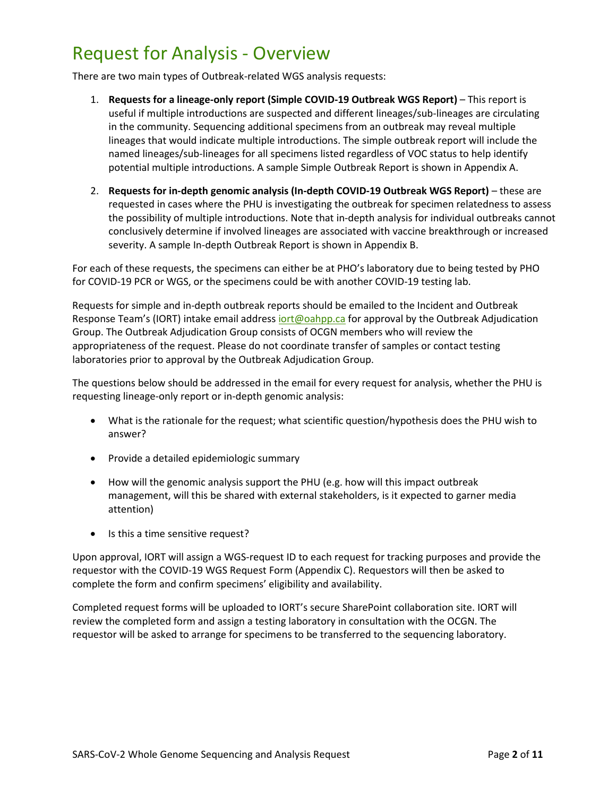## Request for Analysis - Overview

There are two main types of Outbreak-related WGS analysis requests:

- 1. **Requests for a lineage-only report (Simple COVID-19 Outbreak WGS Report)**  This report is useful if multiple introductions are suspected and different lineages/sub-lineages are circulating in the community. Sequencing additional specimens from an outbreak may reveal multiple lineages that would indicate multiple introductions. The simple outbreak report will include the named lineages/sub-lineages for all specimens listed regardless of VOC status to help identify potential multiple introductions. A sample Simple Outbreak Report is shown in Appendix A.
- 2. **Requests for in-depth genomic analysis (In-depth COVID-19 Outbreak WGS Report)** these are requested in cases where the PHU is investigating the outbreak for specimen relatedness to assess the possibility of multiple introductions. Note that in-depth analysis for individual outbreaks cannot conclusively determine if involved lineages are associated with vaccine breakthrough or increased severity. A sample In-depth Outbreak Report is shown in Appendix B.

For each of these requests, the specimens can either be at PHO's laboratory due to being tested by PHO for COVID-19 PCR or WGS, or the specimens could be with another COVID-19 testing lab.

Requests for simple and in-depth outbreak reports should be emailed to the Incident and Outbreak Response Team's (IORT) intake email address jort@oahpp.ca for approval by the Outbreak Adjudication Group. The Outbreak Adjudication Group consists of OCGN members who will review the appropriateness of the request. Please do not coordinate transfer of samples or contact testing laboratories prior to approval by the Outbreak Adjudication Group.

The questions below should be addressed in the email for every request for analysis, whether the PHU is requesting lineage-only report or in-depth genomic analysis:

- What is the rationale for the request; what scientific question/hypothesis does the PHU wish to answer?
- Provide a detailed epidemiologic summary
- How will the genomic analysis support the PHU (e.g. how will this impact outbreak management, will this be shared with external stakeholders, is it expected to garner media attention)
- Is this a time sensitive request?

Upon approval, IORT will assign a WGS-request ID to each request for tracking purposes and provide the requestor with the COVID-19 WGS Request Form (Appendix C). Requestors will then be asked to complete the form and confirm specimens' eligibility and availability.

Completed request forms will be uploaded to IORT's secure SharePoint collaboration site. IORT will review the completed form and assign a testing laboratory in consultation with the OCGN. The requestor will be asked to arrange for specimens to be transferred to the sequencing laboratory.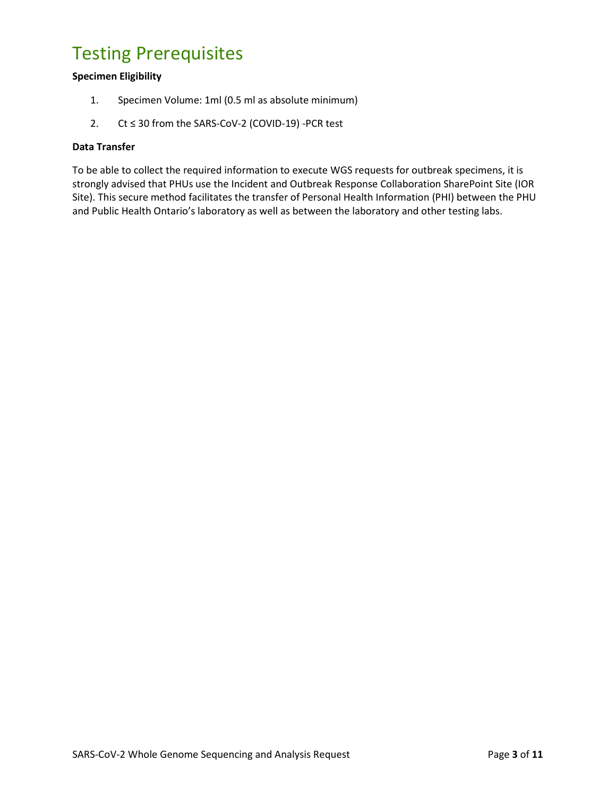## Testing Prerequisites

#### **Specimen Eligibility**

- 1. Specimen Volume: 1ml (0.5 ml as absolute minimum)
- 2. Ct ≤ 30 from the SARS-CoV-2 (COVID-19) -PCR test

#### **Data Transfer**

To be able to collect the required information to execute WGS requests for outbreak specimens, it is strongly advised that PHUs use the Incident and Outbreak Response Collaboration SharePoint Site (IOR Site). This secure method facilitates the transfer of Personal Health Information (PHI) between the PHU and Public Health Ontario's laboratory as well as between the laboratory and other testing labs.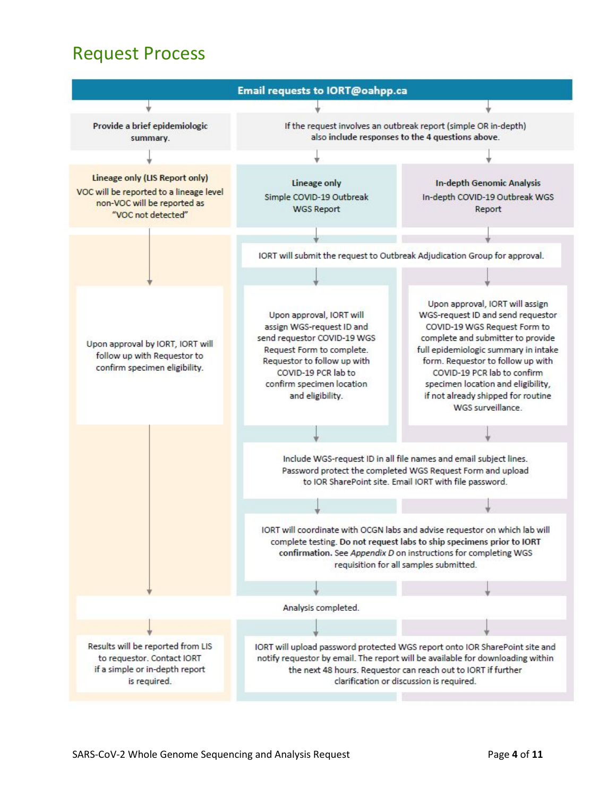### Request Process

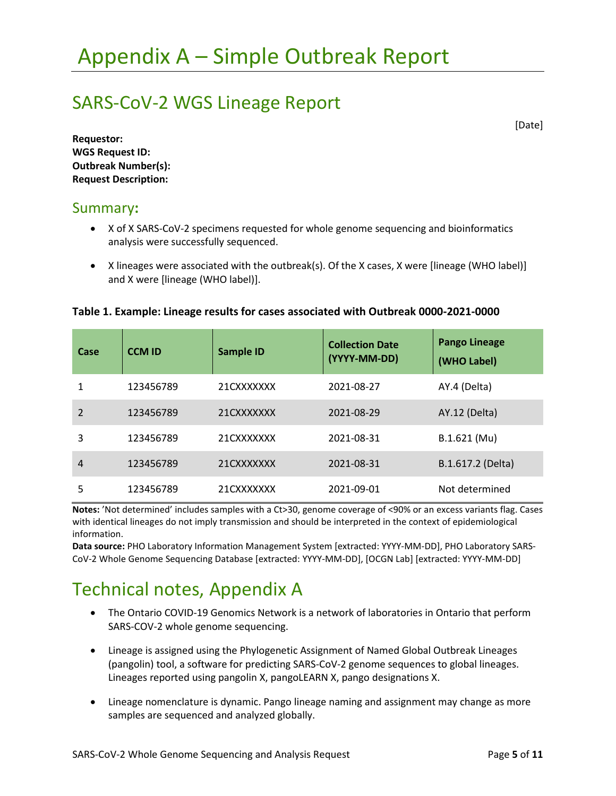### SARS-CoV-2 WGS Lineage Report

[Date]

**Requestor: WGS Request ID: Outbreak Number(s): Request Description:**

#### Summary**:**

- X of X SARS-CoV-2 specimens requested for whole genome sequencing and bioinformatics analysis were successfully sequenced.
- X lineages were associated with the outbreak(s). Of the X cases, X were [lineage (WHO label)] and X were [lineage (WHO label)].

#### **Table 1. Example: Lineage results for cases associated with Outbreak 0000-2021-0000**

| Case           | <b>CCM ID</b> | <b>Sample ID</b> | <b>Collection Date</b><br>(YYYY-MM-DD) | <b>Pango Lineage</b><br>(WHO Label) |
|----------------|---------------|------------------|----------------------------------------|-------------------------------------|
| 1              | 123456789     | 21CXXXXXXX       | 2021-08-27                             | AY.4 (Delta)                        |
| $\mathfrak{p}$ | 123456789     | 21CXXXXXXX       | 2021-08-29                             | AY.12 (Delta)                       |
| 3              | 123456789     | 21CXXXXXXX       | 2021-08-31                             | B.1.621 (Mu)                        |
| 4              | 123456789     | 21CXXXXXXX       | 2021-08-31                             | B.1.617.2 (Delta)                   |
| 5              | 123456789     | 21CXXXXXXX       | 2021-09-01                             | Not determined                      |

**Notes:** 'Not determined' includes samples with a Ct>30, genome coverage of <90% or an excess variants flag. Cases with identical lineages do not imply transmission and should be interpreted in the context of epidemiological information.

**Data source:** PHO Laboratory Information Management System [extracted: YYYY-MM-DD], PHO Laboratory SARS-CoV-2 Whole Genome Sequencing Database [extracted: YYYY-MM-DD], [OCGN Lab] [extracted: YYYY-MM-DD]

# Technical notes, Appendix A

- The Ontario COVID-19 Genomics Network is a network of laboratories in Ontario that perform SARS-COV-2 whole genome sequencing.
- Lineage is assigned using the Phylogenetic Assignment of Named Global Outbreak Lineages (pangolin) tool, a software for predicting SARS-CoV-2 genome sequences to global lineages. Lineages reported using pangolin X, pangoLEARN X, pango designations X.
- Lineage nomenclature is dynamic. Pango lineage naming and assignment may change as more samples are sequenced and analyzed globally.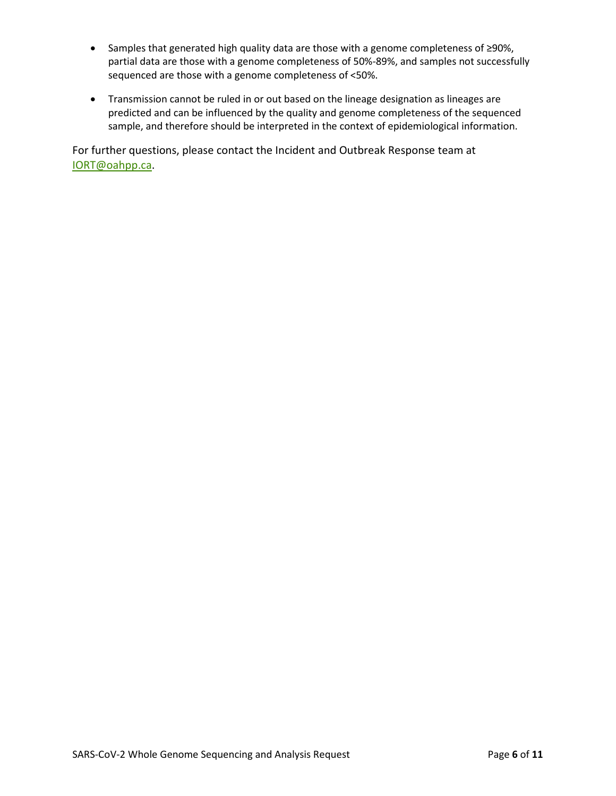- Samples that generated high quality data are those with a genome completeness of ≥90%, partial data are those with a genome completeness of 50%-89%, and samples not successfully sequenced are those with a genome completeness of <50%.
- Transmission cannot be ruled in or out based on the lineage designation as lineages are predicted and can be influenced by the quality and genome completeness of the sequenced sample, and therefore should be interpreted in the context of epidemiological information.

For further questions, please contact the Incident and Outbreak Response team at [IORT@oahpp.ca.](mailto:IORT@oahpp.ca)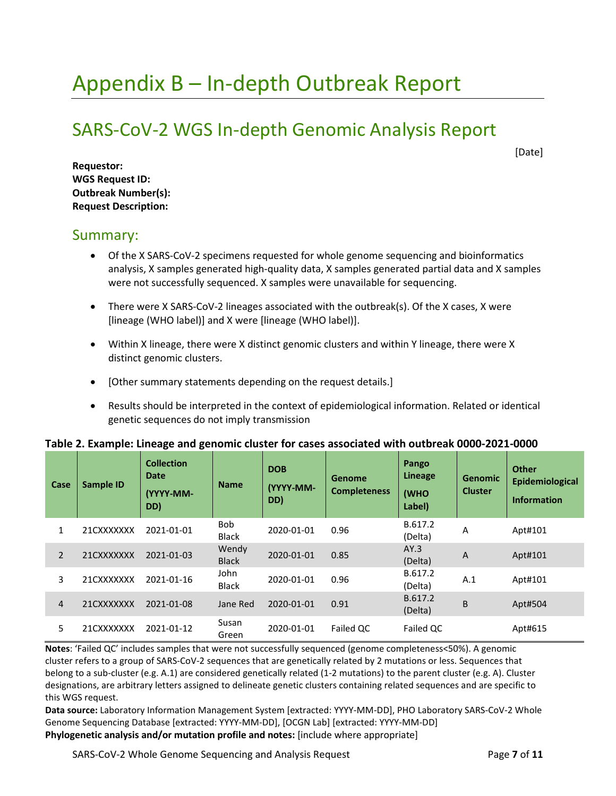# Appendix B – In-depth Outbreak Report

## SARS-CoV-2 WGS In-depth Genomic Analysis Report

[Date]

**Requestor: WGS Request ID: Outbreak Number(s): Request Description:**

#### Summary:

- Of the X SARS-CoV-2 specimens requested for whole genome sequencing and bioinformatics analysis, X samples generated high-quality data, X samples generated partial data and X samples were not successfully sequenced. X samples were unavailable for sequencing.
- There were X SARS-CoV-2 lineages associated with the outbreak(s). Of the X cases, X were [lineage (WHO label)] and X were [lineage (WHO label)].
- Within X lineage, there were X distinct genomic clusters and within Y lineage, there were X distinct genomic clusters.
- [Other summary statements depending on the request details.]
- Results should be interpreted in the context of epidemiological information. Related or identical genetic sequences do not imply transmission

|  | Table 2. Example: Lineage and genomic cluster for cases associated with outbreak 0000-2021-0000 |  |
|--|-------------------------------------------------------------------------------------------------|--|
|--|-------------------------------------------------------------------------------------------------|--|

| Case           | Sample ID  | <b>Collection</b><br>Date<br>(YYYY-MM-<br>DD) | <b>Name</b>                | <b>DOB</b><br>(YYYY-MM-<br>DD) | Genome<br><b>Completeness</b> | Pango<br>Lineage<br>(WHO<br>Label) | <b>Genomic</b><br><b>Cluster</b> | <b>Other</b><br>Epidemiological<br><b>Information</b> |
|----------------|------------|-----------------------------------------------|----------------------------|--------------------------------|-------------------------------|------------------------------------|----------------------------------|-------------------------------------------------------|
|                | 21CXXXXXXX | 2021-01-01                                    | <b>Bob</b><br><b>Black</b> | 2020-01-01                     | 0.96                          | B.617.2<br>(Delta)                 | A                                | Apt#101                                               |
| $\overline{2}$ | 21CXXXXXXX | 2021-01-03                                    | Wendy<br><b>Black</b>      | 2020-01-01                     | 0.85                          | AY.3<br>(Delta)                    | A                                | Apt#101                                               |
| 3              | 21CXXXXXXX | 2021-01-16                                    | John<br><b>Black</b>       | 2020-01-01                     | 0.96                          | B.617.2<br>(Delta)                 | A.1                              | Apt#101                                               |
| 4              | 21CXXXXXXX | 2021-01-08                                    | Jane Red                   | 2020-01-01                     | 0.91                          | B.617.2<br>(Delta)                 | B                                | Apt#504                                               |
| 5.             | 21CXXXXXXX | 2021-01-12                                    | Susan<br>Green             | 2020-01-01                     | Failed QC                     | Failed QC                          |                                  | Apt#615                                               |

**Notes**: 'Failed QC' includes samples that were not successfully sequenced (genome completeness<50%). A genomic cluster refers to a group of SARS-CoV-2 sequences that are genetically related by 2 mutations or less. Sequences that belong to a sub-cluster (e.g. A.1) are considered genetically related (1-2 mutations) to the parent cluster (e.g. A). Cluster designations, are arbitrary letters assigned to delineate genetic clusters containing related sequences and are specific to this WGS request.

**Data source:** Laboratory Information Management System [extracted: YYYY-MM-DD], PHO Laboratory SARS-CoV-2 Whole Genome Sequencing Database [extracted: YYYY-MM-DD], [OCGN Lab] [extracted: YYYY-MM-DD] **Phylogenetic analysis and/or mutation profile and notes:** [include where appropriate]

SARS-CoV-2 Whole Genome Sequencing and Analysis Request Page **7** of **11**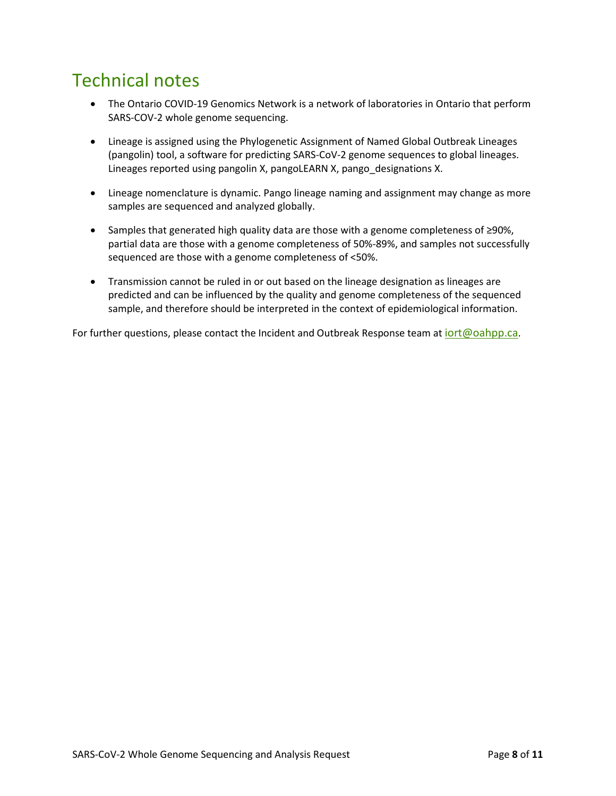## Technical notes

- The Ontario COVID-19 Genomics Network is a network of laboratories in Ontario that perform SARS-COV-2 whole genome sequencing.
- Lineage is assigned using the Phylogenetic Assignment of Named Global Outbreak Lineages (pangolin) tool, a software for predicting SARS-CoV-2 genome sequences to global lineages. Lineages reported using pangolin X, pangoLEARN X, pango\_designations X.
- Lineage nomenclature is dynamic. Pango lineage naming and assignment may change as more samples are sequenced and analyzed globally.
- Samples that generated high quality data are those with a genome completeness of ≥90%, partial data are those with a genome completeness of 50%-89%, and samples not successfully sequenced are those with a genome completeness of <50%.
- Transmission cannot be ruled in or out based on the lineage designation as lineages are predicted and can be influenced by the quality and genome completeness of the sequenced sample, and therefore should be interpreted in the context of epidemiological information.

For further questions, please contact the Incident and Outbreak Response team at  $\frac{\text{iort}(\omega \text{o}alpp.ca)}{\text{colort}(\omega \text{o}alpp.ca)}$ .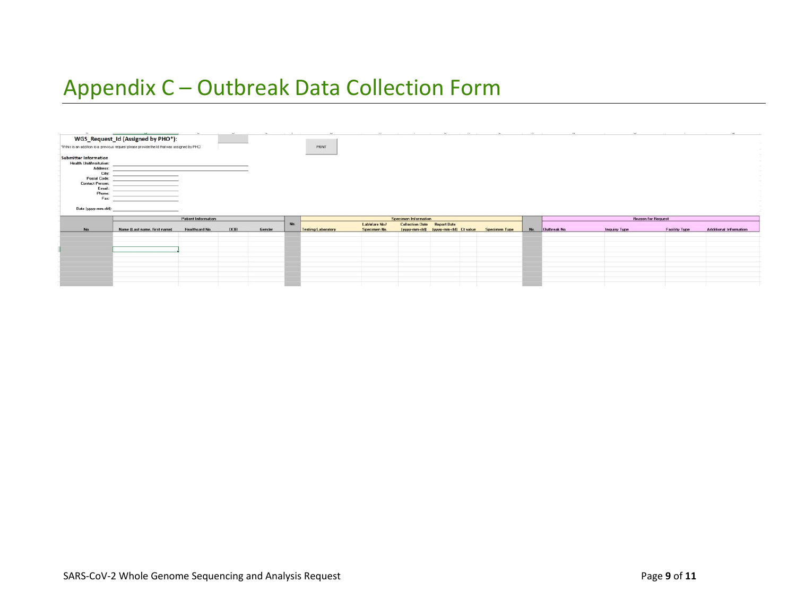# Appendix C – Outbreak Data Collection Form

| $\sim$                                                                                                                                                                          | and the contract of the contract of the contract of the contract of the contract of<br>WGS_Request_Id (Assigned by PHO*): | The Control of                               | <b>Section</b> | <b>STATE</b> |     | $\sim$                    | <b>COLLECTION</b>            | <b>Contract Contract</b>                                          | <b>SALE</b>                        | The Company of the Company | The Contract of      | THE R. P. LEWIS  | <b>COMPANY</b>      |                                                   |                               |
|---------------------------------------------------------------------------------------------------------------------------------------------------------------------------------|---------------------------------------------------------------------------------------------------------------------------|----------------------------------------------|----------------|--------------|-----|---------------------------|------------------------------|-------------------------------------------------------------------|------------------------------------|----------------------------|----------------------|------------------|---------------------|---------------------------------------------------|-------------------------------|
|                                                                                                                                                                                 | *If this is an addition to a previous request please provide the ld that was assigned by PHD                              |                                              |                |              |     | PRINT                     |                              |                                                                   |                                    |                            |                      |                  |                     |                                                   |                               |
| <b>Submitter Information</b><br><b>Health Unit/Insitution:</b><br>Address:<br>City:<br>Postal Code:<br><b>Contact Person:</b><br>Email:<br>Phone:<br>Fax:<br>Date (yyyy-mm-dd): | and the control of the control of<br>the contract of the contract of the                                                  |                                              |                |              |     |                           |                              |                                                                   |                                    |                            |                      |                  |                     |                                                   |                               |
|                                                                                                                                                                                 |                                                                                                                           |                                              |                |              |     |                           |                              |                                                                   |                                    |                            |                      |                  |                     |                                                   |                               |
|                                                                                                                                                                                 |                                                                                                                           |                                              |                |              |     |                           |                              |                                                                   |                                    |                            |                      |                  |                     |                                                   |                               |
| No.                                                                                                                                                                             | Name [Last name, first name]                                                                                              | <b>Patient Information</b><br>Healthcard No. | <b>DOB</b>     | Gender       | No. | <b>Testing Laboratory</b> | LabWare No./<br>Specimen No. | <b>Specimen Information</b><br><b>Collection Date Report Date</b> | (yyyy-mm-dd) (yyyy-mm-dd) Ct value |                            | <b>Specimen Type</b> | No. Outbreak No. | <b>Inquiry Type</b> | <b>Reason for Request</b><br><b>Facility Type</b> | <b>Additional Information</b> |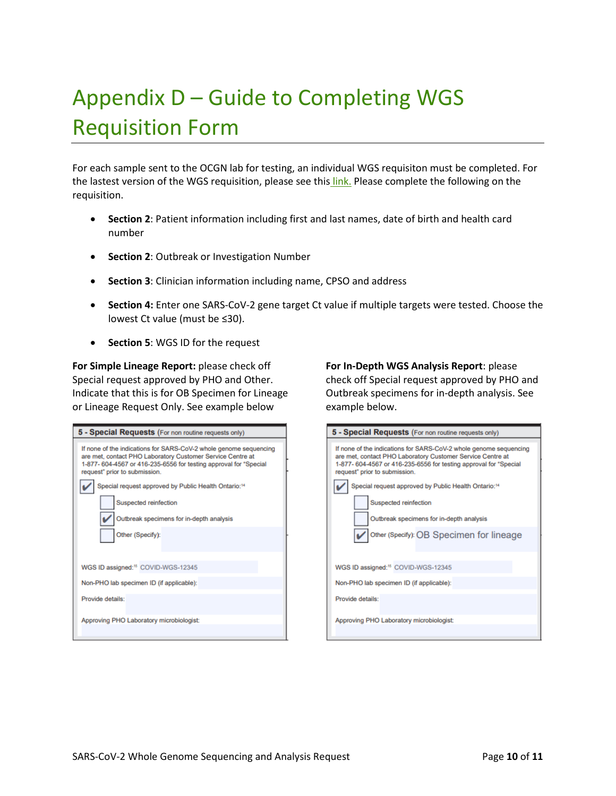# Appendix D – Guide to Completing WGS Requisition Form

For each sample sent to the OCGN lab for testing, an individual WGS requisiton must be completed. For the lastest version of the WGS requisition, please see this [link.](https://www.publichealthontario.ca/-/media/documents/lab/sars-cov-2-voc-screening-request-form.pdf?sc_lang=en) Please complete the following on the requisition.

- **Section 2**: Patient information including first and last names, date of birth and health card number
- **Section 2**: Outbreak or Investigation Number
- **Section 3**: Clinician information including name, CPSO and address
- **Section 4:** Enter one SARS-CoV-2 gene target Ct value if multiple targets were tested. Choose the lowest Ct value (must be ≤30).
- **Section 5**: WGS ID for the request

**For Simple Lineage Report:** Wlease check off Special request approved by PHO and Other. Indicate that this is for OB Specimen for Lineage or Lineage Request Only. See example below

| 5 - Special Requests (For non routine requests only)                                                                                                                                                                                  |
|---------------------------------------------------------------------------------------------------------------------------------------------------------------------------------------------------------------------------------------|
| If none of the indications for SARS-CoV-2 whole genome sequencing<br>are met, contact PHO Laboratory Customer Service Centre at<br>1-877- 604-4567 or 416-235-6556 for testing approval for "Special<br>request" prior to submission. |
| Special request approved by Public Health Ontario: <sup>14</sup>                                                                                                                                                                      |
| Suspected reinfection                                                                                                                                                                                                                 |
| Outbreak specimens for in-depth analysis                                                                                                                                                                                              |
| Other (Specify):                                                                                                                                                                                                                      |
| WGS ID assigned: <sup>15</sup> COVID-WGS-12345                                                                                                                                                                                        |
| Non-PHO lab specimen ID (if applicable):                                                                                                                                                                                              |
| Provide details:                                                                                                                                                                                                                      |
| Approving PHO Laboratory microbiologist:                                                                                                                                                                                              |

**For In-Depth WGS Analysis Report**: Wlease check off Special request approved by PHO and Outbreak specimens for in-depth analysis. See example below.

| 5 - Special Requests (For non routine requests only)                                                                                                                                                                                  |
|---------------------------------------------------------------------------------------------------------------------------------------------------------------------------------------------------------------------------------------|
| If none of the indications for SARS-CoV-2 whole genome sequencing<br>are met, contact PHO Laboratory Customer Service Centre at<br>1-877- 604-4567 or 416-235-6556 for testing approval for "Special<br>request" prior to submission. |
| Special request approved by Public Health Ontario: <sup>14</sup>                                                                                                                                                                      |
| Suspected reinfection                                                                                                                                                                                                                 |
| Outbreak specimens for in-depth analysis                                                                                                                                                                                              |
| Other (Specify): OB Specimen for lineage                                                                                                                                                                                              |
|                                                                                                                                                                                                                                       |
| WGS ID assigned: <sup>15</sup> COVID-WGS-12345                                                                                                                                                                                        |
| Non-PHO lab specimen ID (if applicable):                                                                                                                                                                                              |
| Provide details:                                                                                                                                                                                                                      |
| Approving PHO Laboratory microbiologist:                                                                                                                                                                                              |